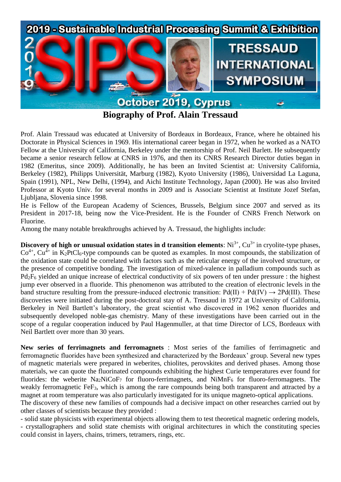

**Biography of Prof. Alain Tressaud**

Prof. Alain Tressaud was educated at University of Bordeaux in Bordeaux, France, where he obtained his Doctorate in Physical Sciences in 1969. His international career began in 1972, when he worked as a NATO Fellow at the University of California, Berkeley under the mentorship of Prof. Neil Barlett. He subsequently became a senior research fellow at CNRS in 1976, and then its CNRS Research Director duties began in 1982 (Emeritus, since 2009). Additionally, he has been an Invited Scientist at: University California, Berkeley (1982), Philipps Universität, Marburg (1982), Kyoto University (1986), Universidad La Laguna, Spain (1991), NPL, New Delhi, (1994), and Aichi Institute Technology, Japan (2000). He was also Invited Professor at Kyoto Univ. for several months in 2009 and is Associate Scientist at Institute Jozef Stefan, Liubliana, Slovenia since 1998.

He is Fellow of the European Academy of Sciences, Brussels, Belgium since 2007 and served as its President in 2017-18, being now the Vice-President. He is the Founder of CNRS French Network on Fluorine.

Among the many notable breakthroughs achieved by A. Tressaud, the highlights include:

**Discovery of high or unusual oxidation states in d transition elements:**  $Ni^{3+}$ ,  $Cu^{3+}$  in cryolite-type phases,  $Co<sup>4+</sup>$ ,  $Cu<sup>4+</sup>$  in K<sub>2</sub>PtCl<sub>6</sub>-type compounds can be quoted as examples. In most compounds, the stabilization of the oxidation state could be correlated with factors such as the reticular energy of the involved structure, or the presence of competitive bonding. The investigation of mixed-valence in palladium compounds such as Pd2F<sup>6</sup> yielded an unique increase of electrical conductivity of six powers of ten under pressure : the highest jump ever observed in a fluoride. This phenomenon was attributed to the creation of electronic levels in the band structure resulting from the pressure-induced electronic transition:  $Pd(II) + Pd(IV) \rightarrow 2Pd(III)$ . These discoveries were initiated during the post-doctoral stay of A. Tressaud in 1972 at University of California, Berkeley in Neil Bartlett's laboratory, the great scientist who discovered in 1962 xenon fluorides and subsequently developed noble-gas chemistry. Many of these investigations have been carried out in the scope of a regular cooperation induced by Paul Hagenmuller, at that time Director of LCS, Bordeaux with Neil Bartlett over more than 30 years.

**New series of ferrimagnets and ferromagnets** : Most series of the families of ferrimagnetic and ferromagnetic fluorides have been synthesized and characterized by the Bordeaux' group. Several new types of magnetic materials were prepared in weberites, chiolites, perovskites and derived phases. Among those materials, we can quote the fluorinated compounds exhibiting the highest Curie temperatures ever found for fluorides: the weberite Na<sub>2</sub>NiCoF<sub>7</sub> for fluoro-ferrimagnets, and NiMnF<sub>6</sub> for fluoro-ferromagnets. The weakly ferromagnetic FeF<sub>3</sub>, which is among the rare compounds being both transparent and attracted by a magnet at room temperature was also particularly investigated for its unique magneto-optical applications. The discovery of these new families of compounds had a decisive impact on other researches carried out by other classes of scientists because they provided :

- solid state physicists with experimental objects allowing them to test theoretical magnetic ordering models,

- crystallographers and solid state chemists with original architectures in which the constituting species could consist in layers, chains, trimers, tetramers, rings, etc.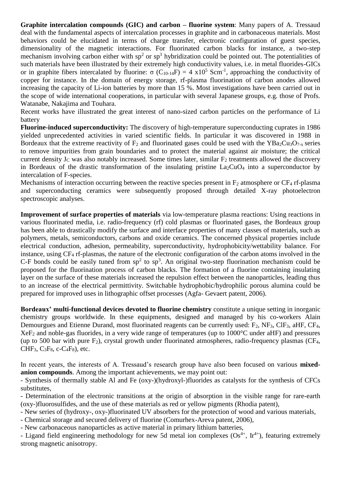**Graphite intercalation compounds (GIC) and carbon – fluorine system**: Many papers of A. Tressaud deal with the fundamental aspects of intercalation processes in graphite and in carbonaceous materials. Most behaviors could be elucidated in terms of charge transfer, electronic configuration of guest species, dimensionality of the magnetic interactions. For fluorinated carbon blacks for instance, a two-step mechanism involving carbon either with  $sp<sup>2</sup>$  or  $sp<sup>3</sup>$  hybridization could be pointed out. The potentialities of such materials have been illustrated by their extremely high conductivity values, i.e. in metal fluorides-GICs or in graphite fibers intercalated by fluorine:  $\sigma$  (C<sub>10-14</sub>F) = 4 x10<sup>5</sup> Scm<sup>-1</sup>, approaching the conductivity of copper for instance. In the domain of energy storage, rf-plasma fluorination of carbon anodes allowed increasing the capacity of Li-ion batteries by more than 15 %. Most investigations have been carried out in the scope of wide international cooperations, in particular with several Japanese groups, e.g. those of Profs. Watanabe, Nakajima and Touhara.

Recent works have illustrated the great interest of nano-sized carbon particles on the performance of Li battery

**Fluorine-induced superconductivity:** The discovery of high-temperature superconducting cuprates in 1986 yielded unprecedented activities in varied scientific fields. In particular it was discovered in 1988 in Bordeaux that the extreme reactivity of  $F_2$  and fluorinated gases could be used with the YBa<sub>2</sub>Cu<sub>3</sub>O<sub>7-x</sub> series to remove impurities from grain boundaries and to protect the material against air moisture; the critical current density  $J<sub>C</sub>$  was also notably increased. Some times later, similar  $F<sub>2</sub>$  treatments allowed the discovery in Bordeaux of the drastic transformation of the insulating pristine  $La_2CuO_4$  into a superconductor by intercalation of F-species.

Mechanisms of interaction occurring between the reactive species present in  $F_2$  atmosphere or  $CF_4$  rf-plasma and superconducting ceramics were subsequently proposed through detailed X-ray photoelectron spectroscopic analyses.

**Improvement of surface properties of materials** via low-temperature plasma reactions: Using reactions in various fluorinated media, i.e. radio-frequency (rf) cold plasmas or fluorinated gases, the Bordeaux group has been able to drastically modify the surface and interface properties of many classes of materials, such as polymers, metals, semiconductors, carbons and oxide ceramics. The concerned physical properties include electrical conduction, adhesion, permeability, superconductivity, hydrophobicity/wettability balance. For instance, using CF<sup>4</sup> rf-plasmas, the nature of the electronic configuration of the carbon atoms involved in the C-F bonds could be easily tuned from  $sp^2$  to  $sp^3$ . An original two-step fluorination mechanism could be proposed for the fluorination process of carbon blacks. The formation of a fluorine containing insulating layer on the surface of these materials increased the repulsion effect between the nanoparticles, leading thus to an increase of the electrical permittivity. Switchable hydrophobic/hydrophilic porous alumina could be prepared for improved uses in lithographic offset processes (Agfa- Gevaert patent, 2006).

**Bordeaux' multi-functional devices devoted to fluorine chemistry** constitute a unique setting in inorganic chemistry groups worldwide. In these equipments, designed and managed by his co-workers Alain Demourgues and Etienne Durand, most fluorinated reagents can be currently used: F<sub>2</sub>, NF<sub>3</sub>, ClF<sub>3</sub>, aHF, CF<sub>4</sub>, XeF<sup>2</sup> and noble-gas fluorides, in a very wide range of temperatures (up to 1000°C under aHF) and pressures (up to 500 bar with pure  $F_2$ ), crystal growth under fluorinated atmospheres, radio-frequency plasmas (CF<sub>4</sub>,  $CHF_3$ ,  $C_3F_8$ ,  $c$ - $C_4F_8$ ), etc.

In recent years, the interests of A. Tressaud's research group have also been focused on various **mixedanion compounds**. Among the important achievements, we may point out:

- Synthesis of thermally stable Al and Fe (oxy-)(hydroxyl-)fluorides as catalysts for the synthesis of CFCs substitutes,

- Determination of the electronic transitions at the origin of absorption in the visible range for rare-earth (oxy-)fluorosulfides, and the use of these materials as red or yellow pigments (Rhodia patent),

- New series of (hydroxy-, oxy-)fluorinated UV absorbers for the protection of wood and various materials,

- Chemical storage and secured delivery of fluorine (Comurhex-Areva patent, 2006),

*-* New carbonaceous nanoparticles as active material in primary lithium batteries,

- Ligand field engineering methodology for new 5d metal ion complexes  $OS^{4+}$ ,  $Ir^{4+}$ ), featuring extremely strong magnetic anisotropy.